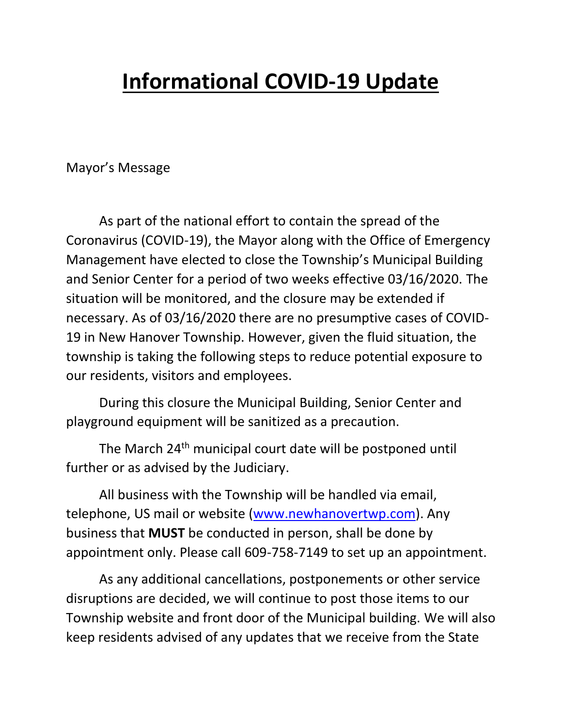## **Informational COVID-19 Update**

Mayor's Message

As part of the national effort to contain the spread of the Coronavirus (COVID-19), the Mayor along with the Office of Emergency Management have elected to close the Township's Municipal Building and Senior Center for a period of two weeks effective 03/16/2020. The situation will be monitored, and the closure may be extended if necessary. As of 03/16/2020 there are no presumptive cases of COVID-19 in New Hanover Township. However, given the fluid situation, the township is taking the following steps to reduce potential exposure to our residents, visitors and employees.

During this closure the Municipal Building, Senior Center and playground equipment will be sanitized as a precaution.

The March 24<sup>th</sup> municipal court date will be postponed until further or as advised by the Judiciary.

All business with the Township will be handled via email, telephone, US mail or website [\(www.newhanovertwp.com\)](http://www.newhanovertwp.com/). Any business that **MUST** be conducted in person, shall be done by appointment only. Please call 609-758-7149 to set up an appointment.

As any additional cancellations, postponements or other service disruptions are decided, we will continue to post those items to our Township website and front door of the Municipal building. We will also keep residents advised of any updates that we receive from the State